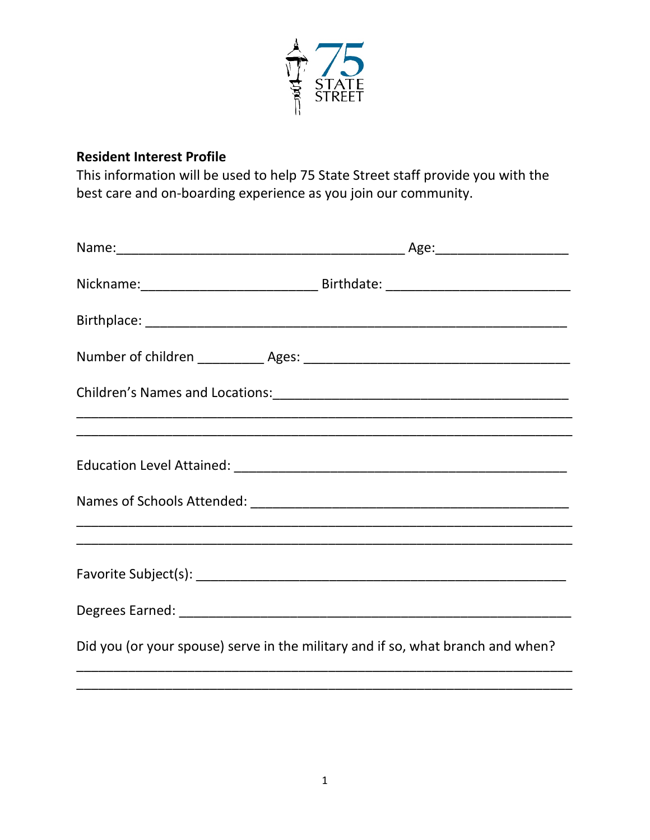

## **Resident Interest Profile**

This information will be used to help 75 State Street staff provide you with the best care and on-boarding experience as you join our community.

| Did you (or your spouse) serve in the military and if so, what branch and when? |  |
|---------------------------------------------------------------------------------|--|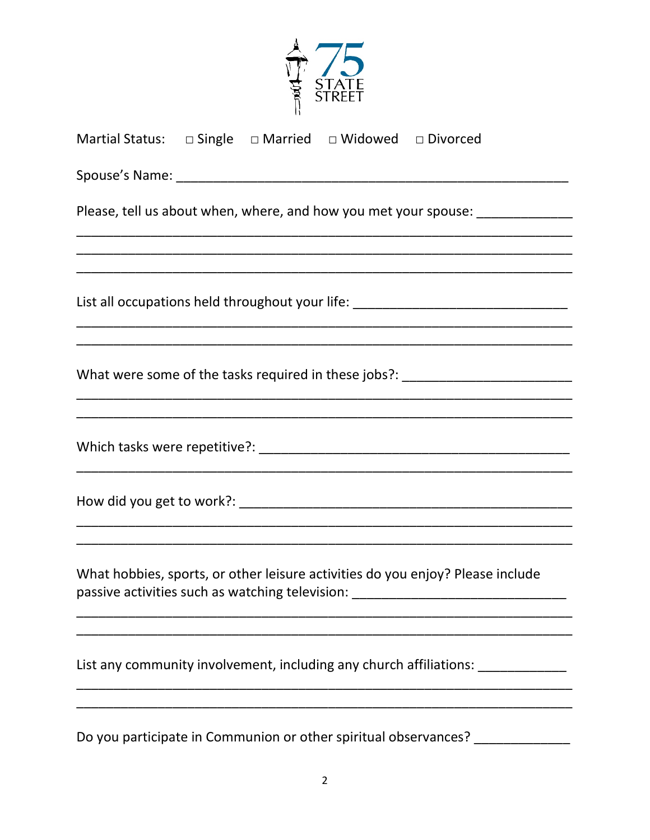| Martial Status: $\Box$ Single $\Box$ Married $\Box$ Widowed $\Box$ Divorced                                                                                        |  |  |  |  |
|--------------------------------------------------------------------------------------------------------------------------------------------------------------------|--|--|--|--|
|                                                                                                                                                                    |  |  |  |  |
| Please, tell us about when, where, and how you met your spouse: _______________                                                                                    |  |  |  |  |
|                                                                                                                                                                    |  |  |  |  |
| List all occupations held throughout your life: ________________________________                                                                                   |  |  |  |  |
| What were some of the tasks required in these jobs?: ___________________________                                                                                   |  |  |  |  |
|                                                                                                                                                                    |  |  |  |  |
|                                                                                                                                                                    |  |  |  |  |
| What hobbies, sports, or other leisure activities do you enjoy? Please include<br>passive activities such as watching television: ________________________________ |  |  |  |  |
| List any community involvement, including any church affiliations: _____________                                                                                   |  |  |  |  |
| Do you participate in Communion or other spiritual observances? _______________                                                                                    |  |  |  |  |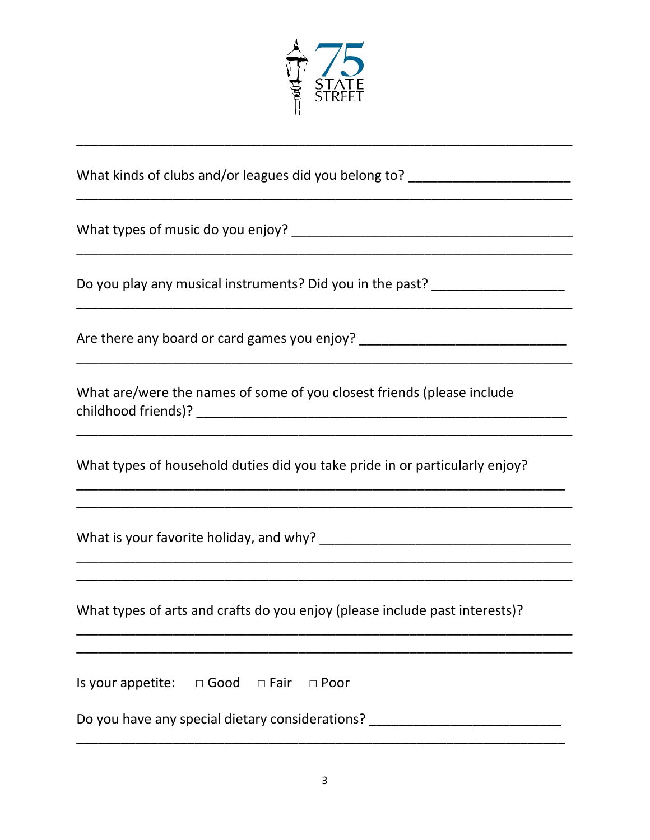

|  |  | What kinds of clubs and/or leagues did you belong to? |
|--|--|-------------------------------------------------------|
|  |  |                                                       |

What types of music do you enjoy?<br>
What types of music do you enjoy?

Do you play any musical instruments? Did you in the past? \_\_\_\_\_\_\_\_\_\_\_\_\_\_\_\_\_\_\_\_\_\_

Are there any board or card games you enjoy? \_\_\_\_\_\_\_\_\_\_\_\_\_\_\_\_\_\_\_\_\_\_\_\_\_\_\_\_\_\_\_\_\_\_\_

What are/were the names of some of you closest friends (please include 

What types of household duties did you take pride in or particularly enjoy?

What types of arts and crafts do you enjoy (please include past interests)?

Is your appetite:  $\Box$  Good  $\Box$  Fair  $\Box$  Poor

Do you have any special dietary considerations? \_\_\_\_\_\_\_\_\_\_\_\_\_\_\_\_\_\_\_\_\_\_\_\_\_\_\_\_\_\_\_\_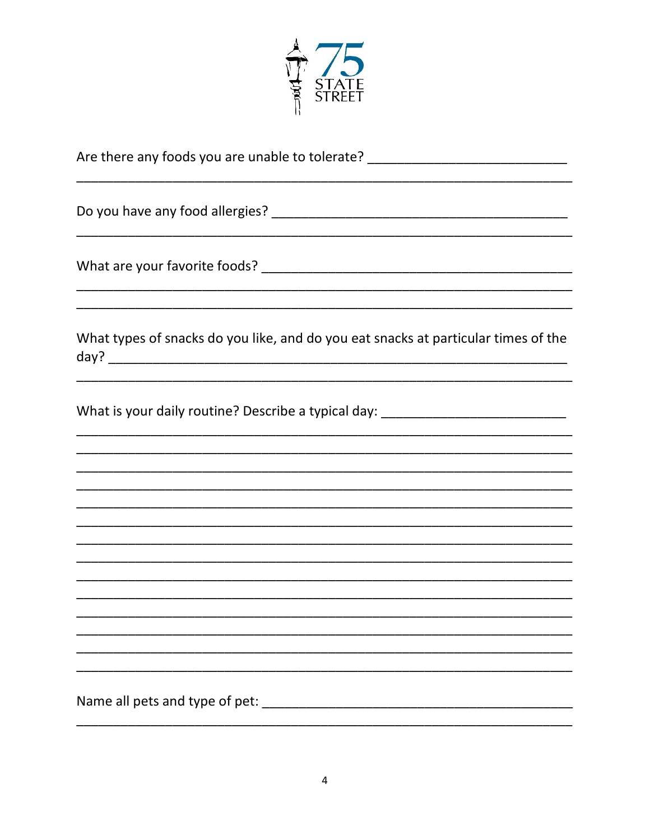

| Are there any foods you are unable to tolerate? ________________________________                                                                                                                         |
|----------------------------------------------------------------------------------------------------------------------------------------------------------------------------------------------------------|
|                                                                                                                                                                                                          |
|                                                                                                                                                                                                          |
| What types of snacks do you like, and do you eat snacks at particular times of the                                                                                                                       |
| <u> 1989 - Johann Barn, mars and deur de Barn, mars and deur de Barn, mars and deur de Barn, mars and deur de Ba</u><br>What is your daily routine? Describe a typical day: ____________________________ |
|                                                                                                                                                                                                          |
|                                                                                                                                                                                                          |
|                                                                                                                                                                                                          |
|                                                                                                                                                                                                          |
|                                                                                                                                                                                                          |
|                                                                                                                                                                                                          |
|                                                                                                                                                                                                          |
|                                                                                                                                                                                                          |
|                                                                                                                                                                                                          |
|                                                                                                                                                                                                          |
|                                                                                                                                                                                                          |
|                                                                                                                                                                                                          |
| Name all pets and type of pet:                                                                                                                                                                           |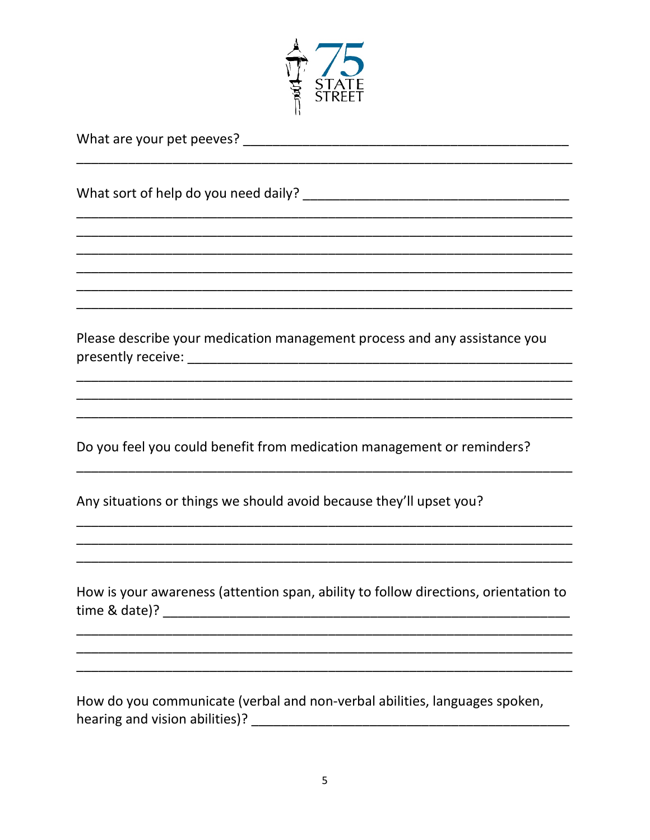

| Please describe your medication management process and any assistance you           |
|-------------------------------------------------------------------------------------|
|                                                                                     |
|                                                                                     |
| Do you feel you could benefit from medication management or reminders?              |
| Any situations or things we should avoid because they'll upset you?                 |
|                                                                                     |
| How is your awareness (attention span, ability to follow directions, orientation to |
|                                                                                     |
|                                                                                     |
| How do you communicate (verbal and non-verbal abilities, languages spoken,          |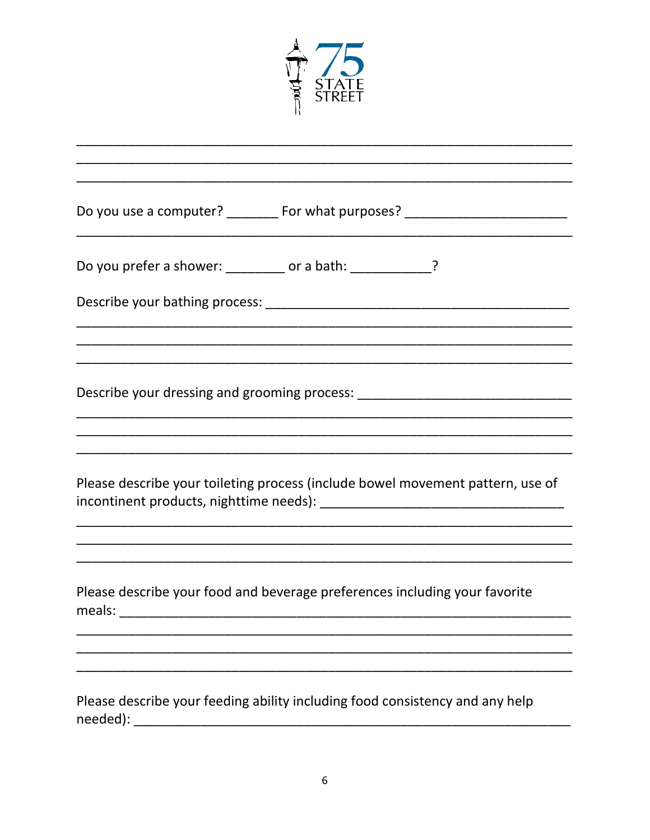

| Do you use a computer? _________ For what purposes? ____________________________         |
|------------------------------------------------------------------------------------------|
| Do you prefer a shower: _________ or a bath: _____________?                              |
|                                                                                          |
|                                                                                          |
|                                                                                          |
|                                                                                          |
| Please describe your toileting process (include bowel movement pattern, use of           |
|                                                                                          |
| Please describe your food and beverage preferences including your favorite<br>meals:     |
|                                                                                          |
|                                                                                          |
| Please describe your feeding ability including food consistency and any help<br>needed): |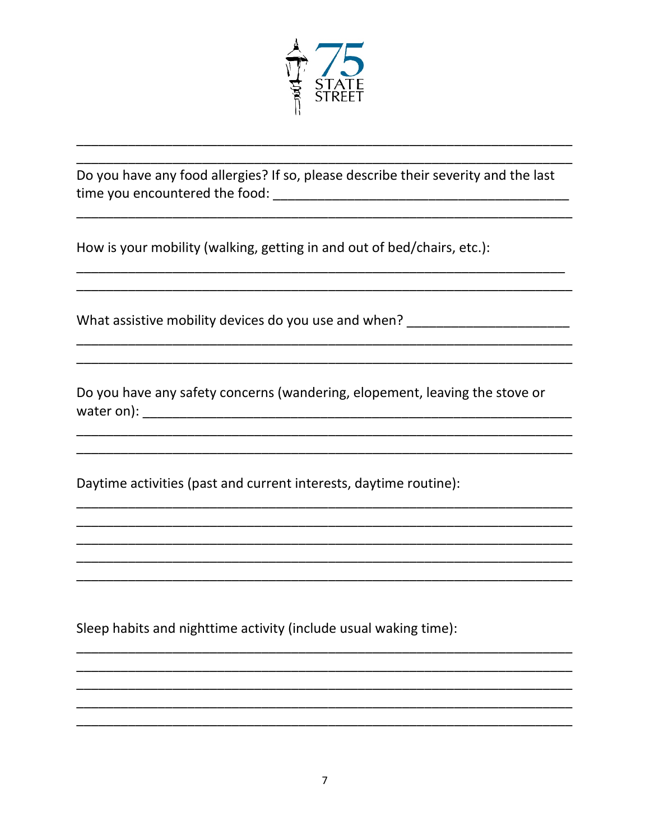

Do you have any food allergies? If so, please describe their severity and the last 

How is your mobility (walking, getting in and out of bed/chairs, etc.):

What assistive mobility devices do you use and when?

Do you have any safety concerns (wandering, elopement, leaving the stove or 

Daytime activities (past and current interests, daytime routine):

Sleep habits and nighttime activity (include usual waking time):